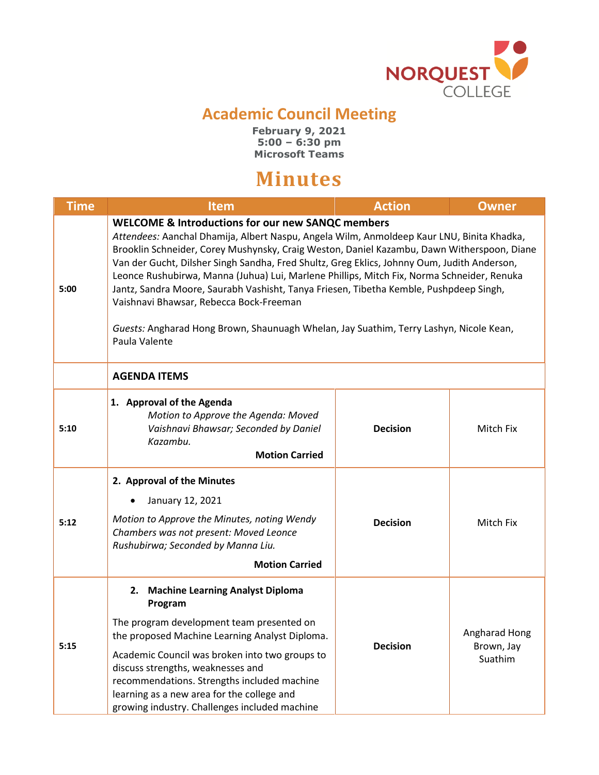

## **Academic Council Meeting**

**February 9, 2021 5:00 – 6:30 pm Microsoft Teams**

## **Minutes**

| <b>Time</b> | Item                                                                                                                                                                                                                                                                                                                                                                                                                                                                                                                                                                                                                                                                                                 | <b>Action</b>   | <b>Owner</b>                           |
|-------------|------------------------------------------------------------------------------------------------------------------------------------------------------------------------------------------------------------------------------------------------------------------------------------------------------------------------------------------------------------------------------------------------------------------------------------------------------------------------------------------------------------------------------------------------------------------------------------------------------------------------------------------------------------------------------------------------------|-----------------|----------------------------------------|
| 5:00        | <b>WELCOME &amp; Introductions for our new SANQC members</b><br>Attendees: Aanchal Dhamija, Albert Naspu, Angela Wilm, Anmoldeep Kaur LNU, Binita Khadka,<br>Brooklin Schneider, Corey Mushynsky, Craig Weston, Daniel Kazambu, Dawn Witherspoon, Diane<br>Van der Gucht, Dilsher Singh Sandha, Fred Shultz, Greg Eklics, Johnny Oum, Judith Anderson,<br>Leonce Rushubirwa, Manna (Juhua) Lui, Marlene Phillips, Mitch Fix, Norma Schneider, Renuka<br>Jantz, Sandra Moore, Saurabh Vashisht, Tanya Friesen, Tibetha Kemble, Pushpdeep Singh,<br>Vaishnavi Bhawsar, Rebecca Bock-Freeman<br>Guests: Angharad Hong Brown, Shaunuagh Whelan, Jay Suathim, Terry Lashyn, Nicole Kean,<br>Paula Valente |                 |                                        |
|             | <b>AGENDA ITEMS</b>                                                                                                                                                                                                                                                                                                                                                                                                                                                                                                                                                                                                                                                                                  |                 |                                        |
| 5:10        | 1. Approval of the Agenda<br>Motion to Approve the Agenda: Moved<br>Vaishnavi Bhawsar; Seconded by Daniel<br>Kazambu.<br><b>Motion Carried</b>                                                                                                                                                                                                                                                                                                                                                                                                                                                                                                                                                       | <b>Decision</b> | Mitch Fix                              |
| 5:12        | 2. Approval of the Minutes<br>January 12, 2021<br>Motion to Approve the Minutes, noting Wendy<br>Chambers was not present: Moved Leonce<br>Rushubirwa; Seconded by Manna Liu.<br><b>Motion Carried</b>                                                                                                                                                                                                                                                                                                                                                                                                                                                                                               | <b>Decision</b> | Mitch Fix                              |
| 5:15        | <b>Machine Learning Analyst Diploma</b><br>2.<br>Program<br>The program development team presented on<br>the proposed Machine Learning Analyst Diploma.<br>Academic Council was broken into two groups to<br>discuss strengths, weaknesses and<br>recommendations. Strengths included machine<br>learning as a new area for the college and<br>growing industry. Challenges included machine                                                                                                                                                                                                                                                                                                         | <b>Decision</b> | Angharad Hong<br>Brown, Jay<br>Suathim |